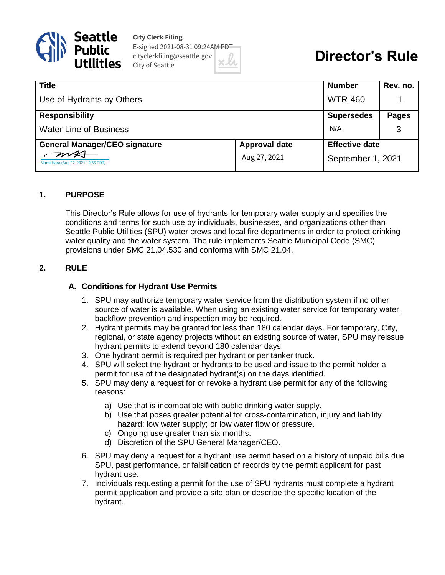

**City Clerk Filing** E-signed 2021-08-31 09:24AM PDT cityclerkfiling@seattle.gov City of Seattle

# **Director's Rule**

| <b>Title</b>                               |                      | <b>Number</b>                              | Rev. no.     |
|--------------------------------------------|----------------------|--------------------------------------------|--------------|
| Use of Hydrants by Others                  |                      | <b>WTR-460</b>                             |              |
| <b>Responsibility</b>                      |                      | <b>Supersedes</b>                          | <b>Pages</b> |
| <b>Water Line of Business</b>              |                      | N/A                                        | 3            |
| <b>General Manager/CEO signature</b>       | <b>Approval date</b> | <b>Effective date</b><br>September 1, 2021 |              |
| .704<br>Mami Hara (Aug 27, 2021 12:55 PDT) | Aug 27, 2021         |                                            |              |

#### **1. PURPOSE**

This Director's Rule allows for use of hydrants for temporary water supply and specifies the conditions and terms for such use by individuals, businesses, and organizations other than Seattle Public Utilities (SPU) water crews and local fire departments in order to protect drinking water quality and the water system. The rule implements Seattle Municipal Code (SMC) provisions under SMC 21.04.530 and conforms with SMC 21.04.

#### **2. RULE**

#### **A. Conditions for Hydrant Use Permits**

- 1. SPU may authorize temporary water service from the distribution system if no other source of water is available. When using an existing water service for temporary water, backflow prevention and inspection may be required.
- 2. Hydrant permits may be granted for less than 180 calendar days. For temporary, City, regional, or state agency projects without an existing source of water, SPU may reissue hydrant permits to extend beyond 180 calendar days.
- 3. One hydrant permit is required per hydrant or per tanker truck.
- 4. SPU will select the hydrant or hydrants to be used and issue to the permit holder a permit for use of the designated hydrant(s) on the days identified.
- 5. SPU may deny a request for or revoke a hydrant use permit for any of the following reasons:
	- a) Use that is incompatible with public drinking water supply.
	- b) Use that poses greater potential for cross-contamination, injury and liability hazard; low water supply; or low water flow or pressure.
	- c) Ongoing use greater than six months.
	- d) Discretion of the SPU General Manager/CEO.
- 6. SPU may deny a request for a hydrant use permit based on a history of unpaid bills due SPU, past performance, or falsification of records by the permit applicant for past hydrant use.
- 7. Individuals requesting a permit for the use of SPU hydrants must complete a hydrant permit application and provide a site plan or describe the specific location of the hydrant.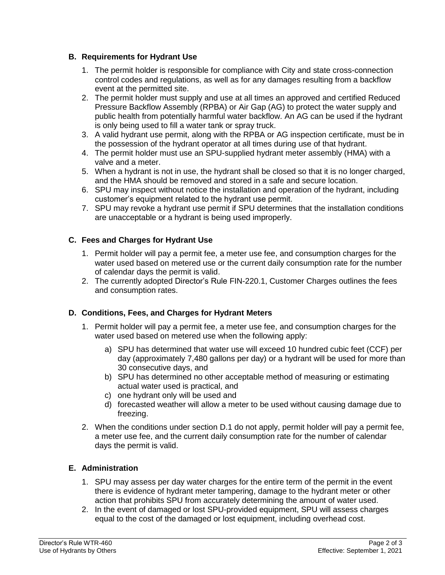## **B. Requirements for Hydrant Use**

- 1. The permit holder is responsible for compliance with City and state cross-connection control codes and regulations, as well as for any damages resulting from a backflow event at the permitted site.
- 2. The permit holder must supply and use at all times an approved and certified Reduced Pressure Backflow Assembly (RPBA) or Air Gap (AG) to protect the water supply and public health from potentially harmful water backflow. An AG can be used if the hydrant is only being used to fill a water tank or spray truck.
- 3. A valid hydrant use permit, along with the RPBA or AG inspection certificate, must be in the possession of the hydrant operator at all times during use of that hydrant.
- 4. The permit holder must use an SPU-supplied hydrant meter assembly (HMA) with a valve and a meter.
- 5. When a hydrant is not in use, the hydrant shall be closed so that it is no longer charged, and the HMA should be removed and stored in a safe and secure location.
- 6. SPU may inspect without notice the installation and operation of the hydrant, including customer's equipment related to the hydrant use permit.
- 7. SPU may revoke a hydrant use permit if SPU determines that the installation conditions are unacceptable or a hydrant is being used improperly.

#### **C. Fees and Charges for Hydrant Use**

- 1. Permit holder will pay a permit fee, a meter use fee, and consumption charges for the water used based on metered use or the current daily consumption rate for the number of calendar days the permit is valid.
- 2. The currently adopted Director's Rule FIN-220.1, Customer Charges outlines the fees and consumption rates.

## **D. Conditions, Fees, and Charges for Hydrant Meters**

- 1. Permit holder will pay a permit fee, a meter use fee, and consumption charges for the water used based on metered use when the following apply:
	- a) SPU has determined that water use will exceed 10 hundred cubic feet (CCF) per day (approximately 7,480 gallons per day) or a hydrant will be used for more than 30 consecutive days, and
	- b) SPU has determined no other acceptable method of measuring or estimating actual water used is practical, and
	- c) one hydrant only will be used and
	- d) forecasted weather will allow a meter to be used without causing damage due to freezing.
- 2. When the conditions under section D.1 do not apply, permit holder will pay a permit fee, a meter use fee, and the current daily consumption rate for the number of calendar days the permit is valid.

## **E. Administration**

- 1. SPU may assess per day water charges for the entire term of the permit in the event there is evidence of hydrant meter tampering, damage to the hydrant meter or other action that prohibits SPU from accurately determining the amount of water used.
- 2. In the event of damaged or lost SPU-provided equipment, SPU will assess charges equal to the cost of the damaged or lost equipment, including overhead cost.